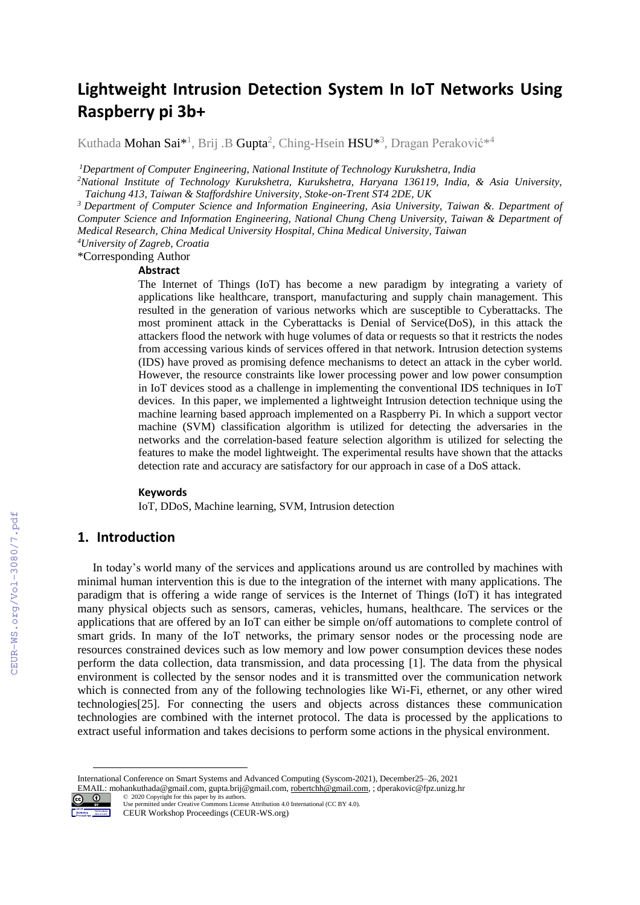# **Lightweight Intrusion Detection System In IoT Networks Using Raspberry pi 3b+**

Kuthada **Mohan Sai\*<sup>1</sup>, Brij .B Gupta<sup>2</sup>, Ching-Hsein**  $\text{HSU*}^3$ **, Dragan Peraković** $*^4$ 

*<sup>1</sup>Department of Computer Engineering, National Institute of Technology Kurukshetra, India*

*<sup>2</sup>National Institute of Technology Kurukshetra, Kurukshetra, Haryana 136119, India, & Asia University, Taichung 413, Taiwan & Staffordshire University, Stoke-on-Trent ST4 2DE, UK*

*<sup>3</sup>Department of Computer Science and Information Engineering, Asia University, Taiwan &. Department of Computer Science and Information Engineering, National Chung Cheng University, Taiwan & Department of Medical Research, China Medical University Hospital, China Medical University, Taiwan*

*<sup>4</sup>University of Zagreb, Croatia* \*Corresponding Author

# **Abstract**

The Internet of Things (IoT) has become a new paradigm by integrating a variety of applications like healthcare, transport, manufacturing and supply chain management. This resulted in the generation of various networks which are susceptible to Cyberattacks. The most prominent attack in the Cyberattacks is Denial of Service(DoS), in this attack the attackers flood the network with huge volumes of data or requests so that it restricts the nodes from accessing various kinds of services offered in that network. Intrusion detection systems (IDS) have proved as promising defence mechanisms to detect an attack in the cyber world. However, the resource constraints like lower processing power and low power consumption in IoT devices stood as a challenge in implementing the conventional IDS techniques in IoT devices. In this paper, we implemented a lightweight Intrusion detection technique using the machine learning based approach implemented on a Raspberry Pi. In which a support vector machine (SVM) classification algorithm is utilized for detecting the adversaries in the networks and the correlation-based feature selection algorithm is utilized for selecting the features to make the model lightweight. The experimental results have shown that the attacks detection rate and accuracy are satisfactory for our approach in case of a DoS attack.

#### **Keywords 1**

IoT, DDoS, Machine learning, SVM, Intrusion detection

# **1. Introduction**

In today's world many of the services and applications around us are controlled by machines with minimal human intervention this is due to the integration of the internet with many applications. The paradigm that is offering a wide range of services is the Internet of Things (IoT) it has integrated many physical objects such as sensors, cameras, vehicles, humans, healthcare. The services or the applications that are offered by an IoT can either be simple on/off automations to complete control of smart grids. In many of the IoT networks, the primary sensor nodes or the processing node are resources constrained devices such as low memory and low power consumption devices these nodes perform the data collection, data transmission, and data processing [\[1\].](#page--1-0) The data from the physical environment is collected by the sensor nodes and it is transmitted over the communication network which is connected from any of the following technologies like Wi-Fi, ethernet, or any other wired technologie[s\[25\].](#page--1-1) For connecting the users and objects across distances these communication technologies are combined with the internet protocol. The data is processed by the applications to extract useful information and takes decisions to perform some actions in the physical environment.

International Conference on Smart Systems and Advanced Computing (Syscom-2021), December25–26, 2021 EMAIL: mohankuthada@gmail.com, gupta.brij@gmail.com[, robertchh@gmail.com,](mailto:robertchh@gmail.com) ; dperakovic@fpz.unizg.hr



©️ 2020 Copyright for this paper by its authors. Use permitted under Creative Commons License Attribution 4.0 International (CC BY 4.0). CEUR Workshop Proceedings (CEUR-WS.org)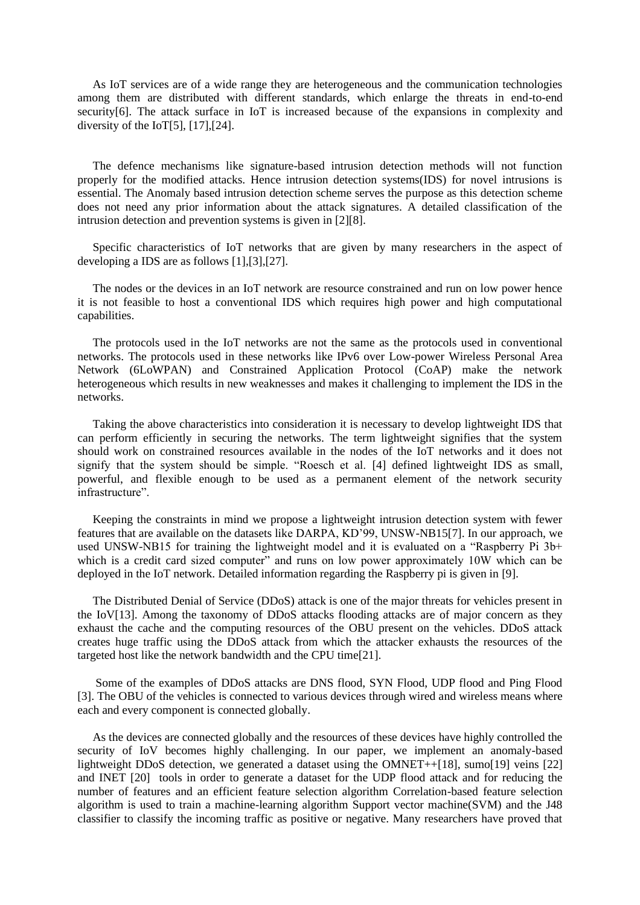As IoT services are of a wide range they are heterogeneous and the communication technologies among them are distributed with different standards, which enlarge the threats in end-to-end securit[y\[6\].](#page-7-0) The attack surface in IoT is increased because of the expansions in complexity and diversity of the Io[T\[5\],](#page-7-1)  $[17]$ ,  $[24]$ .

The defence mechanisms like signature-based intrusion detection methods will not function properly for the modified attacks. Hence intrusion detection systems(IDS) for novel intrusions is essential. The Anomaly based intrusion detection scheme serves the purpose as this detection scheme does not need any prior information about the attack signatures. A detailed classification of the intrusion detection and prevention systems is given in [\[2\]](#page-7-2)[\[8\].](#page-7-3)

Specific characteristics of IoT networks that are given by many researchers in the aspect of developing a IDS are as follows [\[1\],](#page-7-4)[\[3\]](#page-7-5)[,\[27\].](#page-8-2)

The nodes or the devices in an IoT network are resource constrained and run on low power hence it is not feasible to host a conventional IDS which requires high power and high computational capabilities.

The protocols used in the IoT networks are not the same as the protocols used in conventional networks. The protocols used in these networks like IPv6 over Low-power Wireless Personal Area Network (6LoWPAN) and Constrained Application Protocol (CoAP) make the network heterogeneous which results in new weaknesses and makes it challenging to implement the IDS in the networks.

Taking the above characteristics into consideration it is necessary to develop lightweight IDS that can perform efficiently in securing the networks. The term lightweight signifies that the system should work on constrained resources available in the nodes of the IoT networks and it does not signify that the system should be simple. "Roesch et al. [\[4\]](#page-7-6) defined lightweight IDS as small, powerful, and flexible enough to be used as a permanent element of the network security infrastructure".

Keeping the constraints in mind we propose a lightweight intrusion detection system with fewer features that are available on the datasets like DARPA, KD'99, UNSW-NB1[5\[7\].](#page-7-7) In our approach, we used UNSW-NB15 for training the lightweight model and it is evaluated on a "Raspberry Pi 3b+ which is a credit card sized computer" and runs on low power approximately 10W which can be deployed in the IoT network. Detailed information regarding the Raspberry pi is given in [\[9\].](#page-8-3)

The Distributed Denial of Service (DDoS) attack is one of the major threats for vehicles present in the Io[V\[13\].](#page-8-4) Among the taxonomy of DDoS attacks flooding attacks are of major concern as they exhaust the cache and the computing resources of the OBU present on the vehicles. DDoS attack creates huge traffic using the DDoS attack from which the attacker exhausts the resources of the targeted host like the network bandwidth and the CPU tim[e\[21\].](#page-8-5)

Some of the examples of DDoS attacks are DNS flood, SYN Flood, UDP flood and Ping Flood [\[3\].](#page-7-5) The OBU of the vehicles is connected to various devices through wired and wireless means where each and every component is connected globally.

As the devices are connected globally and the resources of these devices have highly controlled the security of IoV becomes highly challenging. In our paper, we implement an anomaly-based lightweight DDoS detection, we generated a dataset using the OMNET+[+\[18\],](#page-8-6) sum[o\[19\]](#page-8-7) veins [\[22\]](#page-8-8) and INET [\[20\]](#page-8-9) tools in order to generate a dataset for the UDP flood attack and for reducing the number of features and an efficient feature selection algorithm Correlation-based feature selection algorithm is used to train a machine-learning algorithm Support vector machine(SVM) and the J48 classifier to classify the incoming traffic as positive or negative. Many researchers have proved that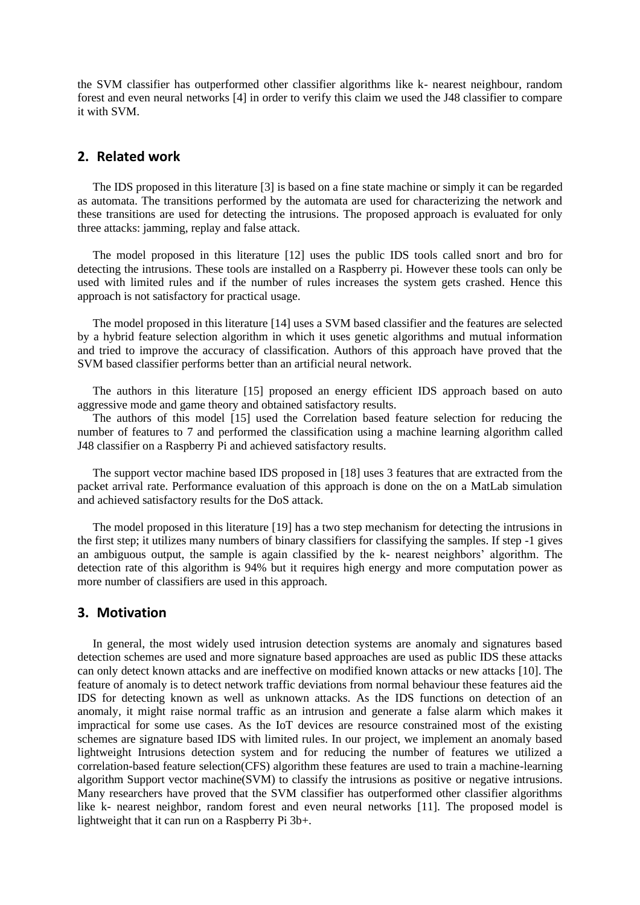the SVM classifier has outperformed other classifier algorithms like k- nearest neighbour, random forest and even neural networks [\[4\]](#page-7-6) in order to verify this claim we used the J48 classifier to compare it with SVM.

# **2. Related work**

The IDS proposed in this literature [\[3\]](#page-7-5) is based on a fine state machine or simply it can be regarded as automata. The transitions performed by the automata are used for characterizing the network and these transitions are used for detecting the intrusions. The proposed approach is evaluated for only three attacks: jamming, replay and false attack.

The model proposed in this literature [\[12\]](#page-8-10) uses the public IDS tools called snort and bro for detecting the intrusions. These tools are installed on a Raspberry pi. However these tools can only be used with limited rules and if the number of rules increases the system gets crashed. Hence this approach is not satisfactory for practical usage.

The model proposed in this literature [\[14\]](#page-8-11) uses a SVM based classifier and the features are selected by a hybrid feature selection algorithm in which it uses genetic algorithms and mutual information and tried to improve the accuracy of classification. Authors of this approach have proved that the SVM based classifier performs better than an artificial neural network.

The authors in this literature [\[15\]](#page-8-12) proposed an energy efficient IDS approach based on auto aggressive mode and game theory and obtained satisfactory results.

The authors of this model [\[15\]](#page-8-12) used the Correlation based feature selection for reducing the number of features to 7 and performed the classification using a machine learning algorithm called J48 classifier on a Raspberry Pi and achieved satisfactory results.

The support vector machine based IDS proposed in [\[18\]](#page-8-6) uses 3 features that are extracted from the packet arrival rate. Performance evaluation of this approach is done on the on a MatLab simulation and achieved satisfactory results for the DoS attack.

The model proposed in this literature [\[19\]](#page-8-7) has a two step mechanism for detecting the intrusions in the first step; it utilizes many numbers of binary classifiers for classifying the samples. If step -1 gives an ambiguous output, the sample is again classified by the k- nearest neighbors' algorithm. The detection rate of this algorithm is 94% but it requires high energy and more computation power as more number of classifiers are used in this approach.

#### **3. Motivation**

In general, the most widely used intrusion detection systems are anomaly and signatures based detection schemes are used and more signature based approaches are used as public IDS these attacks can only detect known attacks and are ineffective on modified known attacks or new attacks [\[10\].](#page-8-13) The feature of anomaly is to detect network traffic deviations from normal behaviour these features aid the IDS for detecting known as well as unknown attacks. As the IDS functions on detection of an anomaly, it might raise normal traffic as an intrusion and generate a false alarm which makes it impractical for some use cases. As the IoT devices are resource constrained most of the existing schemes are signature based IDS with limited rules. In our project, we implement an anomaly based lightweight Intrusions detection system and for reducing the number of features we utilized a correlation-based feature selection(CFS) algorithm these features are used to train a machine-learning algorithm Support vector machine(SVM) to classify the intrusions as positive or negative intrusions. Many researchers have proved that the SVM classifier has outperformed other classifier algorithms like k- nearest neighbor, random forest and even neural networks [\[11\].](#page-8-14) The proposed model is lightweight that it can run on a Raspberry Pi 3b+.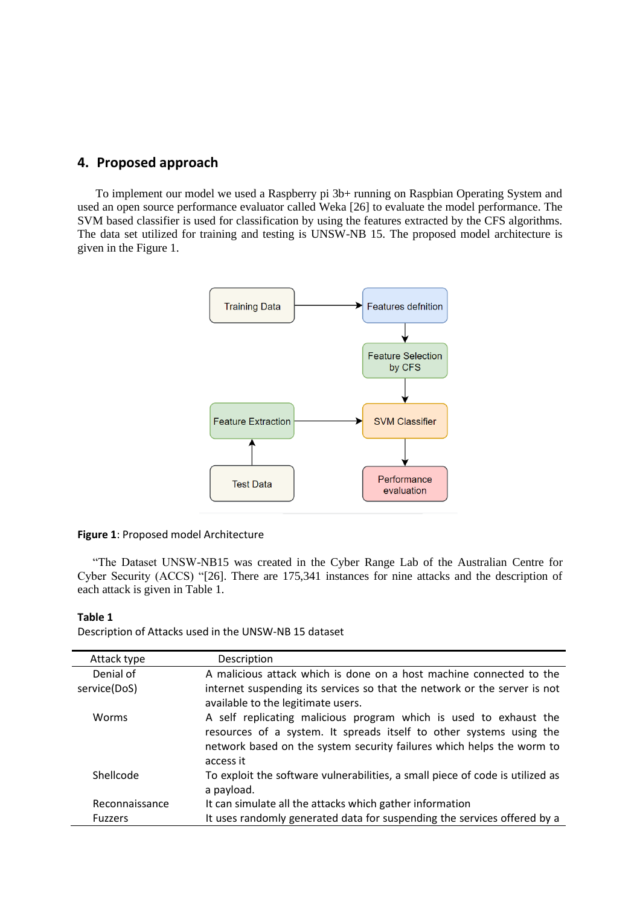## **4. Proposed approach**

To implement our model we used a Raspberry pi 3b+ running on Raspbian Operating System and used an open source performance evaluator called Weka [\[26\]](#page-8-15) to evaluate the model performance. The SVM based classifier is used for classification by using the features extracted by the CFS algorithms. The data set utilized for training and testing is UNSW-NB 15. The proposed model architecture is given in the Figure 1.



#### **Figure 1**: Proposed model Architecture

"The Dataset UNSW-NB15 was created in the Cyber Range Lab of the Australian Centre for Cyber Security (ACCS) ["\[26\].](#page-8-15) There are 175,341 instances for nine attacks and the description of each attack is given in Table 1.

#### **Table 1**

Description of Attacks used in the UNSW-NB 15 dataset

| Attack type    | Description                                                                   |
|----------------|-------------------------------------------------------------------------------|
| Denial of      | A malicious attack which is done on a host machine connected to the           |
| service(DoS)   | internet suspending its services so that the network or the server is not     |
|                | available to the legitimate users.                                            |
| Worms          | A self replicating malicious program which is used to exhaust the             |
|                | resources of a system. It spreads itself to other systems using the           |
|                | network based on the system security failures which helps the worm to         |
|                | access it                                                                     |
| Shellcode      | To exploit the software vulnerabilities, a small piece of code is utilized as |
|                | a payload.                                                                    |
| Reconnaissance | It can simulate all the attacks which gather information                      |
| <b>Fuzzers</b> | It uses randomly generated data for suspending the services offered by a      |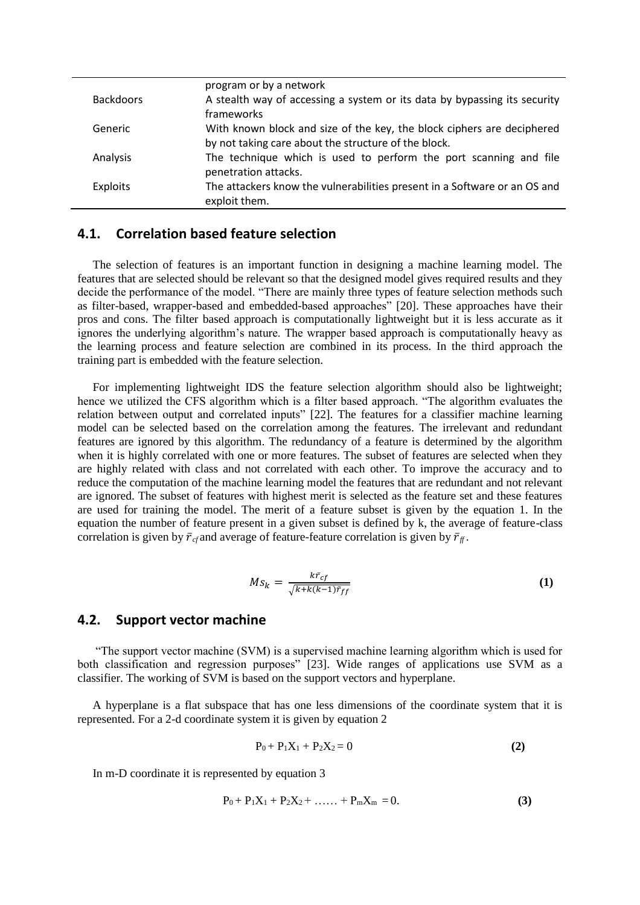|                  | program or by a network                                                   |
|------------------|---------------------------------------------------------------------------|
| <b>Backdoors</b> | A stealth way of accessing a system or its data by bypassing its security |
|                  | frameworks                                                                |
| Generic          | With known block and size of the key, the block ciphers are deciphered    |
|                  | by not taking care about the structure of the block.                      |
| Analysis         | The technique which is used to perform the port scanning and file         |
|                  | penetration attacks.                                                      |
| Exploits         | The attackers know the vulnerabilities present in a Software or an OS and |
|                  | exploit them.                                                             |

# **4.1. Correlation based feature selection**

The selection of features is an important function in designing a machine learning model. The features that are selected should be relevant so that the designed model gives required results and they decide the performance of the model. "There are mainly three types of feature selection methods such as filter-based, wrapper-based and embedded-based approaches" [\[20\].](#page-8-9) These approaches have their pros and cons. The filter based approach is computationally lightweight but it is less accurate as it ignores the underlying algorithm's nature. The wrapper based approach is computationally heavy as the learning process and feature selection are combined in its process. In the third approach the training part is embedded with the feature selection.

For implementing lightweight IDS the feature selection algorithm should also be lightweight; hence we utilized the CFS algorithm which is a filter based approach. "The algorithm evaluates the relation between output and correlated inputs" [\[22\].](#page-8-8) The features for a classifier machine learning model can be selected based on the correlation among the features. The irrelevant and redundant features are ignored by this algorithm. The redundancy of a feature is determined by the algorithm when it is highly correlated with one or more features. The subset of features are selected when they are highly related with class and not correlated with each other. To improve the accuracy and to reduce the computation of the machine learning model the features that are redundant and not relevant are ignored. The subset of features with highest merit is selected as the feature set and these features are used for training the model. The merit of a feature subset is given by the equation 1. In the equation the number of feature present in a given subset is defined by k, the average of feature-class correlation is given by  $\bar{r}_{cf}$  and average of feature-feature correlation is given by  $\bar{r}_{ff}$ .

$$
Ms_k = \frac{k\bar{r}_{cf}}{\sqrt{k + k(k-1)\bar{r}_{ff}}}
$$
(1)

#### **4.2. Support vector machine**

"The support vector machine (SVM) is a supervised machine learning algorithm which is used for both classification and regression purposes" [\[23\].](#page-8-16) Wide ranges of applications use SVM as a classifier. The working of SVM is based on the support vectors and hyperplane.

A hyperplane is a flat subspace that has one less dimensions of the coordinate system that it is represented. For a 2-d coordinate system it is given by equation 2

$$
P_0 + P_1 X_1 + P_2 X_2 = 0 \tag{2}
$$

In m-D coordinate it is represented by equation 3

$$
P_0 + P_1 X_1 + P_2 X_2 + \ldots + P_m X_m = 0.
$$
 (3)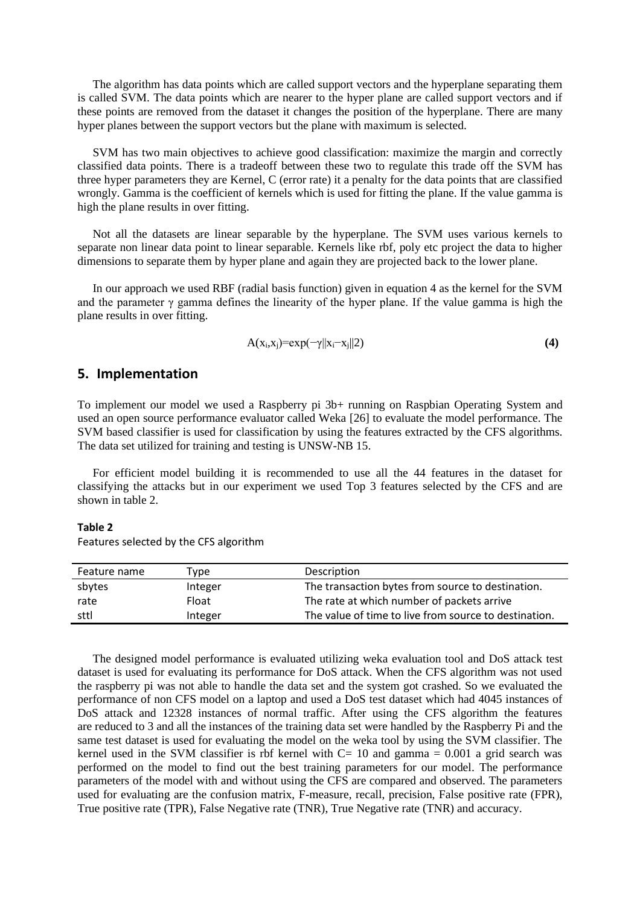The algorithm has data points which are called support vectors and the hyperplane separating them is called SVM. The data points which are nearer to the hyper plane are called support vectors and if these points are removed from the dataset it changes the position of the hyperplane. There are many hyper planes between the support vectors but the plane with maximum is selected.

SVM has two main objectives to achieve good classification: maximize the margin and correctly classified data points. There is a tradeoff between these two to regulate this trade off the SVM has three hyper parameters they are Kernel, C (error rate) it a penalty for the data points that are classified wrongly. Gamma is the coefficient of kernels which is used for fitting the plane. If the value gamma is high the plane results in over fitting.

Not all the datasets are linear separable by the hyperplane. The SVM uses various kernels to separate non linear data point to linear separable. Kernels like rbf, poly etc project the data to higher dimensions to separate them by hyper plane and again they are projected back to the lower plane.

In our approach we used RBF (radial basis function) given in equation 4 as the kernel for the SVM and the parameter  $\gamma$  gamma defines the linearity of the hyper plane. If the value gamma is high the plane results in over fitting.

$$
A(x_i,x_j) = exp(-\gamma ||x_i-x_j||2)
$$
 (4)

### **5. Implementation**

To implement our model we used a Raspberry pi 3b+ running on Raspbian Operating System and used an open source performance evaluator called Weka [\[26\]](#page-8-15) to evaluate the model performance. The SVM based classifier is used for classification by using the features extracted by the CFS algorithms. The data set utilized for training and testing is UNSW-NB 15.

For efficient model building it is recommended to use all the 44 features in the dataset for classifying the attacks but in our experiment we used Top 3 features selected by the CFS and are shown in table 2.

#### **Table 2**

Features selected by the CFS algorithm

| Feature name | Type    | Description                                           |  |
|--------------|---------|-------------------------------------------------------|--|
| sbytes       | Integer | The transaction bytes from source to destination.     |  |
| rate         | Float   | The rate at which number of packets arrive            |  |
| sttl         | Integer | The value of time to live from source to destination. |  |

The designed model performance is evaluated utilizing weka evaluation tool and DoS attack test dataset is used for evaluating its performance for DoS attack. When the CFS algorithm was not used the raspberry pi was not able to handle the data set and the system got crashed. So we evaluated the performance of non CFS model on a laptop and used a DoS test dataset which had 4045 instances of DoS attack and 12328 instances of normal traffic. After using the CFS algorithm the features are reduced to 3 and all the instances of the training data set were handled by the Raspberry Pi and the same test dataset is used for evaluating the model on the weka tool by using the SVM classifier. The kernel used in the SVM classifier is rbf kernel with  $C= 10$  and gamma  $= 0.001$  a grid search was performed on the model to find out the best training parameters for our model. The performance parameters of the model with and without using the CFS are compared and observed. The parameters used for evaluating are the confusion matrix, F-measure, recall, precision, False positive rate (FPR), True positive rate (TPR), False Negative rate (TNR), True Negative rate (TNR) and accuracy.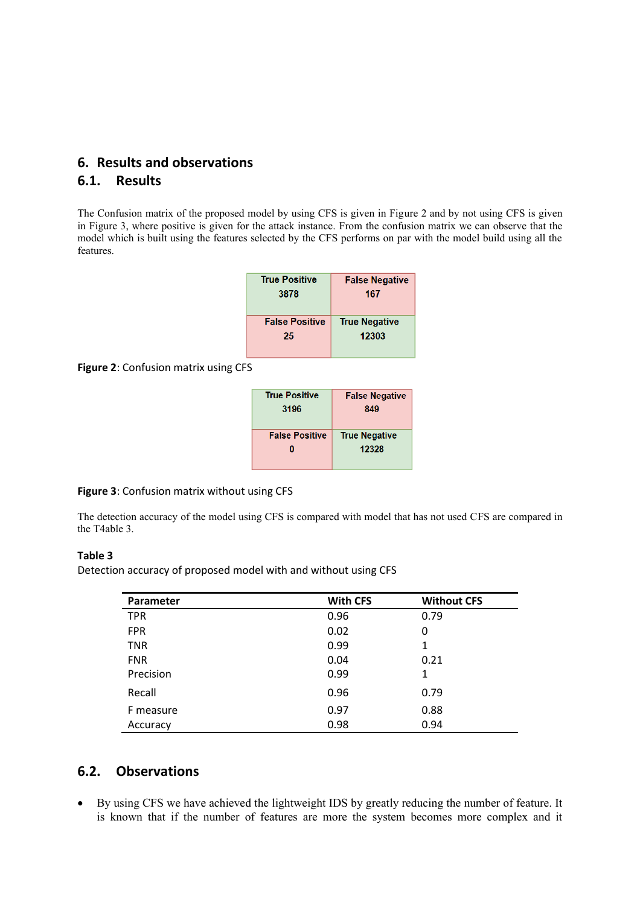# **6. Results and observations 6.1. Results**

The Confusion matrix of the proposed model by using CFS is given in Figure 2 and by not using CFS is given in Figure 3, where positive is given for the attack instance. From the confusion matrix we can observe that the model which is built using the features selected by the CFS performs on par with the model build using all the features.

| <b>True Positive</b>  | <b>False Negative</b> |  |
|-----------------------|-----------------------|--|
| 3878                  | 167                   |  |
|                       |                       |  |
| <b>False Positive</b> | <b>True Negative</b>  |  |
| 25                    | 12303                 |  |
|                       |                       |  |

**Figure 2**: Confusion matrix using CFS

| <b>True Positive</b>  | <b>False Negative</b> |  |
|-----------------------|-----------------------|--|
| 3196                  | 849                   |  |
| <b>False Positive</b> | <b>True Negative</b>  |  |
| Ω                     | 12328                 |  |

#### **Figure 3**: Confusion matrix without using CFS

The detection accuracy of the model using CFS is compared with model that has not used CFS are compared in the T4able 3.

#### **Table 3**

Detection accuracy of proposed model with and without using CFS

| Parameter  | <b>With CFS</b> | <b>Without CFS</b> |
|------------|-----------------|--------------------|
| <b>TPR</b> | 0.96            | 0.79               |
| <b>FPR</b> | 0.02            | 0                  |
| <b>TNR</b> | 0.99            | 1                  |
| <b>FNR</b> | 0.04            | 0.21               |
| Precision  | 0.99            | 1                  |
| Recall     | 0.96            | 0.79               |
| F measure  | 0.97            | 0.88               |
| Accuracy   | 0.98            | 0.94               |

# **6.2. Observations**

• By using CFS we have achieved the lightweight IDS by greatly reducing the number of feature. It is known that if the number of features are more the system becomes more complex and it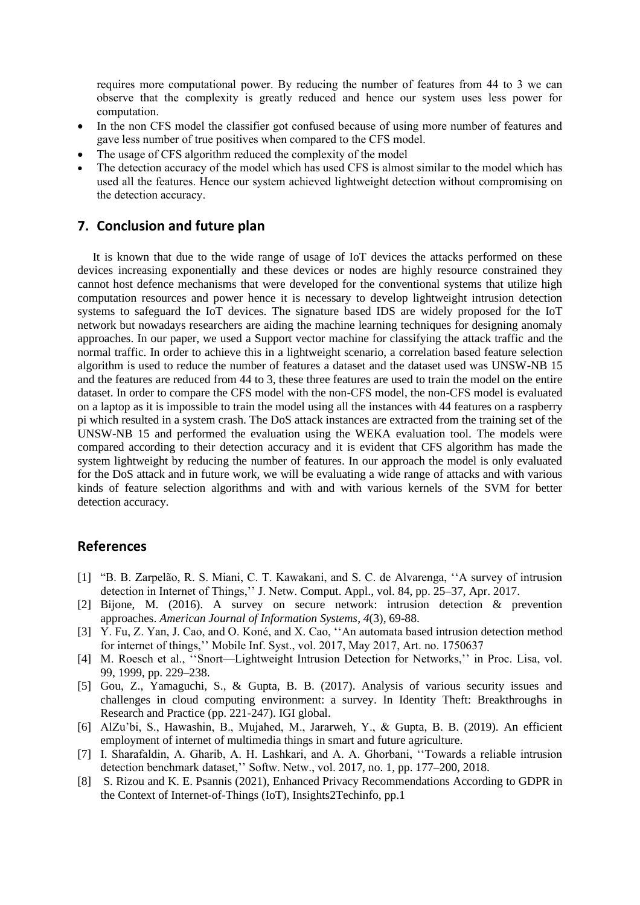requires more computational power. By reducing the number of features from 44 to 3 we can observe that the complexity is greatly reduced and hence our system uses less power for computation.

- In the non CFS model the classifier got confused because of using more number of features and gave less number of true positives when compared to the CFS model.
- The usage of CFS algorithm reduced the complexity of the model
- The detection accuracy of the model which has used CFS is almost similar to the model which has used all the features. Hence our system achieved lightweight detection without compromising on the detection accuracy.

# **7. Conclusion and future plan**

It is known that due to the wide range of usage of IoT devices the attacks performed on these devices increasing exponentially and these devices or nodes are highly resource constrained they cannot host defence mechanisms that were developed for the conventional systems that utilize high computation resources and power hence it is necessary to develop lightweight intrusion detection systems to safeguard the IoT devices. The signature based IDS are widely proposed for the IoT network but nowadays researchers are aiding the machine learning techniques for designing anomaly approaches. In our paper, we used a Support vector machine for classifying the attack traffic and the normal traffic. In order to achieve this in a lightweight scenario, a correlation based feature selection algorithm is used to reduce the number of features a dataset and the dataset used was UNSW-NB 15 and the features are reduced from 44 to 3, these three features are used to train the model on the entire dataset. In order to compare the CFS model with the non-CFS model, the non-CFS model is evaluated on a laptop as it is impossible to train the model using all the instances with 44 features on a raspberry pi which resulted in a system crash. The DoS attack instances are extracted from the training set of the UNSW-NB 15 and performed the evaluation using the WEKA evaluation tool. The models were compared according to their detection accuracy and it is evident that CFS algorithm has made the system lightweight by reducing the number of features. In our approach the model is only evaluated for the DoS attack and in future work, we will be evaluating a wide range of attacks and with various kinds of feature selection algorithms and with and with various kernels of the SVM for better detection accuracy.

# **References**

- <span id="page-7-4"></span>[1] "B. B. Zarpelão, R. S. Miani, C. T. Kawakani, and S. C. de Alvarenga, ''A survey of intrusion detection in Internet of Things,'' J. Netw. Comput. Appl., vol. 84, pp. 25–37, Apr. 2017.
- <span id="page-7-2"></span>[2] Bijone, M. (2016). A survey on secure network: intrusion detection & prevention approaches. *American Journal of Information Systems*, *4*(3), 69-88.
- <span id="page-7-5"></span>[3] Y. Fu, Z. Yan, J. Cao, and O. Koné, and X. Cao, ''An automata based intrusion detection method for internet of things,'' Mobile Inf. Syst., vol. 2017, May 2017, Art. no. 1750637
- <span id="page-7-6"></span>[4] M. Roesch et al., ''Snort—Lightweight Intrusion Detection for Networks,'' in Proc. Lisa, vol. 99, 1999, pp. 229–238.
- <span id="page-7-1"></span>[5] Gou, Z., Yamaguchi, S., & Gupta, B. B. (2017). Analysis of various security issues and challenges in cloud computing environment: a survey. In Identity Theft: Breakthroughs in Research and Practice (pp. 221-247). IGI global.
- <span id="page-7-0"></span>[6] AlZu'bi, S., Hawashin, B., Mujahed, M., Jararweh, Y., & Gupta, B. B. (2019). An efficient employment of internet of multimedia things in smart and future agriculture.
- <span id="page-7-7"></span>[7] I. Sharafaldin, A. Gharib, A. H. Lashkari, and A. A. Ghorbani, ''Towards a reliable intrusion detection benchmark dataset,'' Softw. Netw., vol. 2017, no. 1, pp. 177–200, 2018.
- <span id="page-7-3"></span>[8] S. Rizou and K. E. Psannis (2021), Enhanced Privacy Recommendations According to GDPR in the Context of Internet-of-Things (IoT), Insights2Techinfo, pp.1